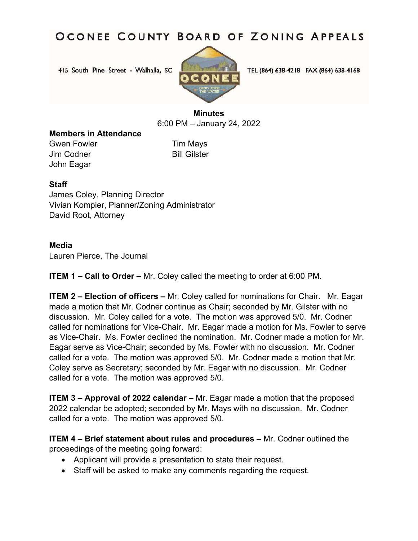415 South Pine Street - Walhalla, SC



TEL (864) 638-4218 FAX (864) 638-4168

### **Minutes**  6:00 PM – January 24, 2022

#### **Members in Attendance**

Gwen Fowler **Tim Mays** Jim Codner **Bill Gilster** John Eagar

### **Staff**

James Coley, Planning Director Vivian Kompier, Planner/Zoning Administrator David Root, Attorney

#### **Media**

Lauren Pierce, The Journal

**ITEM 1 – Call to Order –** Mr. Coley called the meeting to order at 6:00 PM.

**ITEM 2 – Election of officers –** Mr. Coley called for nominations for Chair. Mr. Eagar made a motion that Mr. Codner continue as Chair; seconded by Mr. Gilster with no discussion. Mr. Coley called for a vote. The motion was approved 5/0. Mr. Codner called for nominations for Vice-Chair. Mr. Eagar made a motion for Ms. Fowler to serve as Vice-Chair. Ms. Fowler declined the nomination. Mr. Codner made a motion for Mr. Eagar serve as Vice-Chair; seconded by Ms. Fowler with no discussion. Mr. Codner called for a vote. The motion was approved 5/0. Mr. Codner made a motion that Mr. Coley serve as Secretary; seconded by Mr. Eagar with no discussion. Mr. Codner called for a vote. The motion was approved 5/0.

**ITEM 3 – Approval of 2022 calendar –** Mr. Eagar made a motion that the proposed 2022 calendar be adopted; seconded by Mr. Mays with no discussion. Mr. Codner called for a vote. The motion was approved 5/0.

**ITEM 4 – Brief statement about rules and procedures –** Mr. Codner outlined the proceedings of the meeting going forward:

- Applicant will provide a presentation to state their request.
- Staff will be asked to make any comments regarding the request.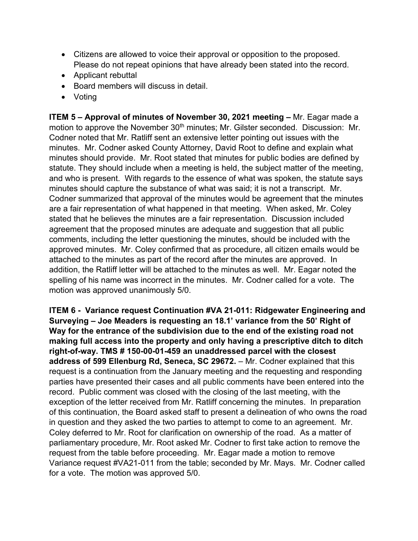- Citizens are allowed to voice their approval or opposition to the proposed. Please do not repeat opinions that have already been stated into the record.
- Applicant rebuttal
- Board members will discuss in detail.
- Voting

**ITEM 5 – Approval of minutes of November 30, 2021 meeting –** Mr. Eagar made a motion to approve the November 30<sup>th</sup> minutes; Mr. Gilster seconded. Discussion: Mr. Codner noted that Mr. Ratliff sent an extensive letter pointing out issues with the minutes. Mr. Codner asked County Attorney, David Root to define and explain what minutes should provide. Mr. Root stated that minutes for public bodies are defined by statute. They should include when a meeting is held, the subject matter of the meeting, and who is present. With regards to the essence of what was spoken, the statute says minutes should capture the substance of what was said; it is not a transcript. Mr. Codner summarized that approval of the minutes would be agreement that the minutes are a fair representation of what happened in that meeting. When asked, Mr. Coley stated that he believes the minutes are a fair representation. Discussion included agreement that the proposed minutes are adequate and suggestion that all public comments, including the letter questioning the minutes, should be included with the approved minutes. Mr. Coley confirmed that as procedure, all citizen emails would be attached to the minutes as part of the record after the minutes are approved. In addition, the Ratliff letter will be attached to the minutes as well. Mr. Eagar noted the spelling of his name was incorrect in the minutes. Mr. Codner called for a vote. The motion was approved unanimously 5/0.

**ITEM 6 - Variance request Continuation #VA 21-011: Ridgewater Engineering and Surveying – Joe Meaders is requesting an 18.1' variance from the 50' Right of Way for the entrance of the subdivision due to the end of the existing road not making full access into the property and only having a prescriptive ditch to ditch right-of-way. TMS # 150-00-01-459 an unaddressed parcel with the closest address of 599 Ellenburg Rd, Seneca, SC 29672.** – Mr. Codner explained that this request is a continuation from the January meeting and the requesting and responding parties have presented their cases and all public comments have been entered into the record. Public comment was closed with the closing of the last meeting, with the exception of the letter received from Mr. Ratliff concerning the minutes. In preparation of this continuation, the Board asked staff to present a delineation of who owns the road in question and they asked the two parties to attempt to come to an agreement. Mr. Coley deferred to Mr. Root for clarification on ownership of the road. As a matter of parliamentary procedure, Mr. Root asked Mr. Codner to first take action to remove the request from the table before proceeding. Mr. Eagar made a motion to remove Variance request #VA21-011 from the table; seconded by Mr. Mays. Mr. Codner called for a vote. The motion was approved 5/0.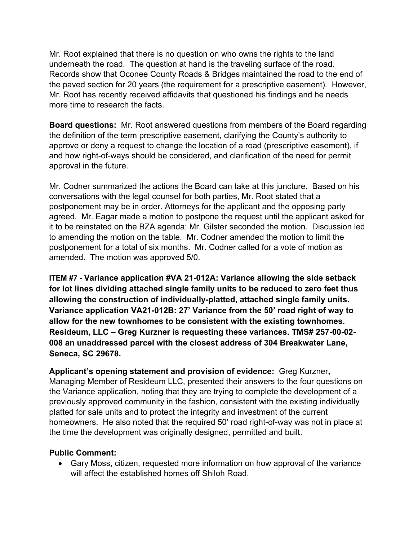Mr. Root explained that there is no question on who owns the rights to the land underneath the road. The question at hand is the traveling surface of the road. Records show that Oconee County Roads & Bridges maintained the road to the end of the paved section for 20 years (the requirement for a prescriptive easement). However, Mr. Root has recently received affidavits that questioned his findings and he needs more time to research the facts.

**Board questions:** Mr. Root answered questions from members of the Board regarding the definition of the term prescriptive easement, clarifying the County's authority to approve or deny a request to change the location of a road (prescriptive easement), if and how right-of-ways should be considered, and clarification of the need for permit approval in the future.

Mr. Codner summarized the actions the Board can take at this juncture. Based on his conversations with the legal counsel for both parties, Mr. Root stated that a postponement may be in order. Attorneys for the applicant and the opposing party agreed. Mr. Eagar made a motion to postpone the request until the applicant asked for it to be reinstated on the BZA agenda; Mr. Gilster seconded the motion. Discussion led to amending the motion on the table. Mr. Codner amended the motion to limit the postponement for a total of six months. Mr. Codner called for a vote of motion as amended. The motion was approved 5/0.

**ITEM #7 - Variance application #VA 21-012A: Variance allowing the side setback for lot lines dividing attached single family units to be reduced to zero feet thus allowing the construction of individually-platted, attached single family units. Variance application VA21-012B: 27' Variance from the 50' road right of way to allow for the new townhomes to be consistent with the existing townhomes. Resideum, LLC – Greg Kurzner is requesting these variances. TMS# 257-00-02- 008 an unaddressed parcel with the closest address of 304 Breakwater Lane, Seneca, SC 29678.**

**Applicant's opening statement and provision of evidence:** Greg Kurzner**,**  Managing Member of Resideum LLC, presented their answers to the four questions on the Variance application, noting that they are trying to complete the development of a previously approved community in the fashion, consistent with the existing individually platted for sale units and to protect the integrity and investment of the current homeowners. He also noted that the required 50' road right-of-way was not in place at the time the development was originally designed, permitted and built.

#### **Public Comment:**

 Gary Moss, citizen, requested more information on how approval of the variance will affect the established homes off Shiloh Road.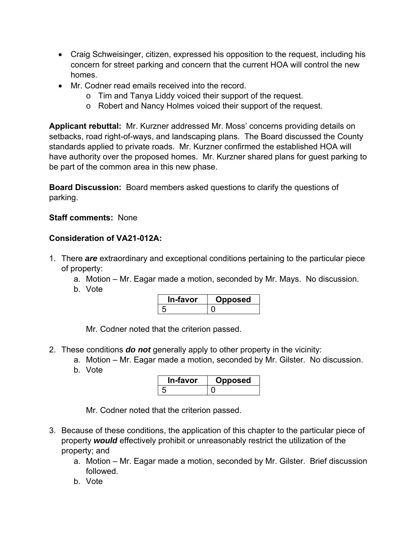- Craig Schweisinger, citizen, expressed his opposition to the request, including his concern for street parking and concern that the current HOA will control the new homes.
- Mr. Codner read emails received into the record.
	- o Tim and Tanya Liddy voiced their support of the request.
	- o Robert and Nancy Holmes voiced their support of the request.

**Applicant rebuttal:** Mr. Kurzner addressed Mr. Moss' concerns providing details on setbacks, road right-of-ways, and landscaping plans. The Board discussed the County standards applied to private roads. Mr. Kurzner confirmed the established HOA will have authority over the proposed homes. Mr. Kurzner shared plans for guest parking to be part of the common area in this new phase.

**Board Discussion:** Board members asked questions to clarify the questions of parking.

#### **Staff comments:** None

#### **Consideration of VA21-012A:**

- 1. There *are* extraordinary and exceptional conditions pertaining to the particular piece of property:
	- a. Motion Mr. Eagar made a motion, seconded by Mr. Mays. No discussion.
	- b. Vote

| In-favor | posed |
|----------|-------|
|          |       |

Mr. Codner noted that the criterion passed.

- 2. These conditions *do not* generally apply to other property in the vicinity:
	- a. Motion Mr. Eagar made a motion, seconded by Mr. Gilster. No discussion.
	- b. Vote

| ∙-ravor | osed |
|---------|------|
|         |      |

- 3. Because of these conditions, the application of this chapter to the particular piece of property *would* effectively prohibit or unreasonably restrict the utilization of the property; and
	- a. Motion Mr. Eagar made a motion, seconded by Mr. Gilster. Brief discussion followed.
	- b. Vote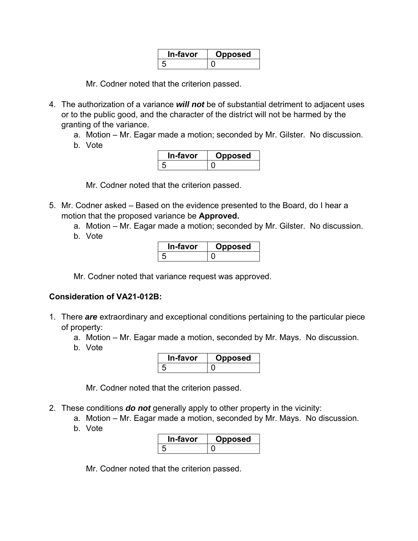| \-favor | osea |
|---------|------|
|         |      |

- 4. The authorization of a variance *will not* be of substantial detriment to adjacent uses or to the public good, and the character of the district will not be harmed by the granting of the variance.
	- a. Motion Mr. Eagar made a motion; seconded by Mr. Gilster. No discussion.
	- b. Vote

| ı-favor | posed |
|---------|-------|
|         |       |

Mr. Codner noted that the criterion passed.

- 5. Mr. Codner asked Based on the evidence presented to the Board, do I hear a motion that the proposed variance be **Approved.** 
	- a. Motion Mr. Eagar made a motion; seconded by Mr. Gilster. No discussion.
	- b. Vote

| <b>In-tavor</b> | posed |
|-----------------|-------|
|                 |       |

Mr. Codner noted that variance request was approved.

## **Consideration of VA21-012B:**

- 1. There *are* extraordinary and exceptional conditions pertaining to the particular piece of property:
	- a. Motion Mr. Eagar made a motion, seconded by Mr. Mays. No discussion.
	- b. Vote

| ำ-favor | <b>oposed</b> |
|---------|---------------|
|         |               |

Mr. Codner noted that the criterion passed.

- 2. These conditions *do not* generally apply to other property in the vicinity:
	- a. Motion Mr. Eagar made a motion, seconded by Mr. Mays. No discussion.
	- b. Vote

| In-favor | oposed |
|----------|--------|
|          |        |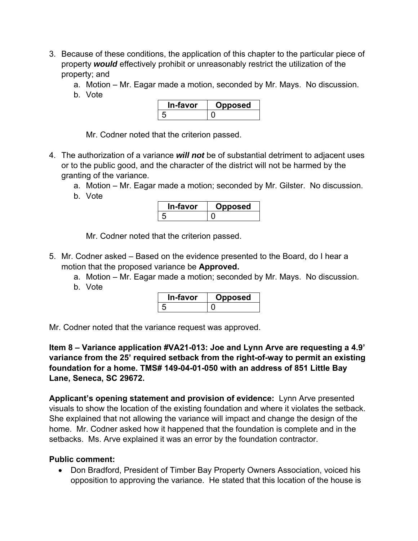- 3. Because of these conditions, the application of this chapter to the particular piece of property *would* effectively prohibit or unreasonably restrict the utilization of the property; and
	- a. Motion Mr. Eagar made a motion, seconded by Mr. Mays. No discussion.
	- b. Vote

| In-favor | pposed |
|----------|--------|
|          |        |

- 4. The authorization of a variance *will not* be of substantial detriment to adjacent uses or to the public good, and the character of the district will not be harmed by the granting of the variance.
	- a. Motion Mr. Eagar made a motion; seconded by Mr. Gilster. No discussion.
	- b. Vote



Mr. Codner noted that the criterion passed.

- 5. Mr. Codner asked Based on the evidence presented to the Board, do I hear a motion that the proposed variance be **Approved.** 
	- a. Motion Mr. Eagar made a motion; seconded by Mr. Mays. No discussion.
	- b. Vote

| In-favor | posed |
|----------|-------|
|          |       |

Mr. Codner noted that the variance request was approved.

**Item 8 – Variance application #VA21-013: Joe and Lynn Arve are requesting a 4.9' variance from the 25' required setback from the right-of-way to permit an existing foundation for a home. TMS# 149-04-01-050 with an address of 851 Little Bay Lane, Seneca, SC 29672.** 

**Applicant's opening statement and provision of evidence:** Lynn Arve presented visuals to show the location of the existing foundation and where it violates the setback. She explained that not allowing the variance will impact and change the design of the home. Mr. Codner asked how it happened that the foundation is complete and in the setbacks. Ms. Arve explained it was an error by the foundation contractor.

### **Public comment:**

• Don Bradford, President of Timber Bay Property Owners Association, voiced his opposition to approving the variance. He stated that this location of the house is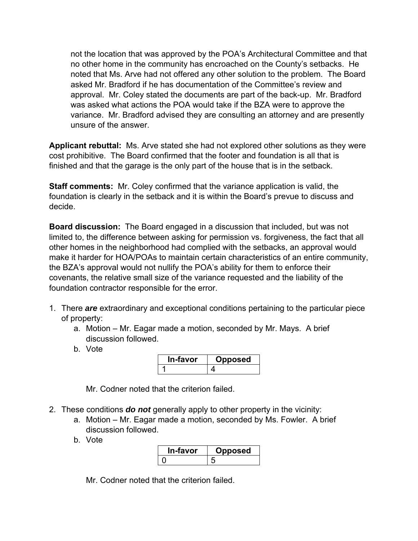not the location that was approved by the POA's Architectural Committee and that no other home in the community has encroached on the County's setbacks. He noted that Ms. Arve had not offered any other solution to the problem. The Board asked Mr. Bradford if he has documentation of the Committee's review and approval. Mr. Coley stated the documents are part of the back-up. Mr. Bradford was asked what actions the POA would take if the BZA were to approve the variance. Mr. Bradford advised they are consulting an attorney and are presently unsure of the answer.

**Applicant rebuttal:** Ms. Arve stated she had not explored other solutions as they were cost prohibitive. The Board confirmed that the footer and foundation is all that is finished and that the garage is the only part of the house that is in the setback.

**Staff comments:** Mr. Coley confirmed that the variance application is valid, the foundation is clearly in the setback and it is within the Board's prevue to discuss and decide.

**Board discussion:** The Board engaged in a discussion that included, but was not limited to, the difference between asking for permission vs. forgiveness, the fact that all other homes in the neighborhood had complied with the setbacks, an approval would make it harder for HOA/POAs to maintain certain characteristics of an entire community, the BZA's approval would not nullify the POA's ability for them to enforce their covenants, the relative small size of the variance requested and the liability of the foundation contractor responsible for the error.

- 1. There *are* extraordinary and exceptional conditions pertaining to the particular piece of property:
	- a. Motion Mr. Eagar made a motion, seconded by Mr. Mays. A brief discussion followed.
	- b. Vote

| <b>In-favor</b> | pposed |
|-----------------|--------|
|                 |        |

Mr. Codner noted that the criterion failed.

- 2. These conditions *do not* generally apply to other property in the vicinity:
	- a. Motion Mr. Eagar made a motion, seconded by Ms. Fowler. A brief discussion followed.
	- b. Vote

| In-favor | posed |
|----------|-------|
|          |       |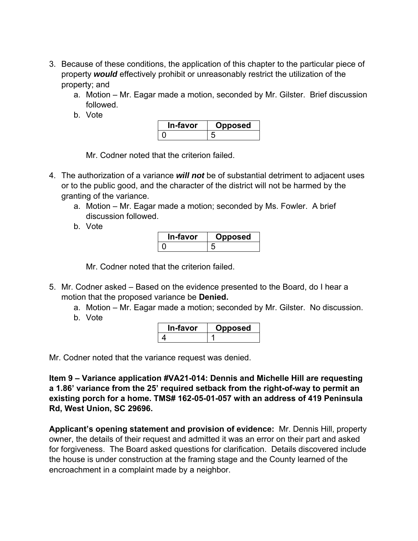- 3. Because of these conditions, the application of this chapter to the particular piece of property *would* effectively prohibit or unreasonably restrict the utilization of the property; and
	- a. Motion Mr. Eagar made a motion, seconded by Mr. Gilster. Brief discussion followed.
	- b. Vote

| า-ravor | osed |
|---------|------|
|         |      |

- 4. The authorization of a variance *will not* be of substantial detriment to adjacent uses or to the public good, and the character of the district will not be harmed by the granting of the variance.
	- a. Motion Mr. Eagar made a motion; seconded by Ms. Fowler. A brief discussion followed.
	- b. Vote

| In-favor | oposed |
|----------|--------|
|          |        |

Mr. Codner noted that the criterion failed.

- 5. Mr. Codner asked Based on the evidence presented to the Board, do I hear a motion that the proposed variance be **Denied.** 
	- a. Motion Mr. Eagar made a motion; seconded by Mr. Gilster. No discussion.
	- b. Vote

| ın-tavor | JDOSEG |
|----------|--------|
|          |        |

Mr. Codner noted that the variance request was denied.

**Item 9 – Variance application #VA21-014: Dennis and Michelle Hill are requesting a 1.86' variance from the 25' required setback from the right-of-way to permit an existing porch for a home. TMS# 162-05-01-057 with an address of 419 Peninsula Rd, West Union, SC 29696.** 

**Applicant's opening statement and provision of evidence:** Mr. Dennis Hill, property owner, the details of their request and admitted it was an error on their part and asked for forgiveness. The Board asked questions for clarification. Details discovered include the house is under construction at the framing stage and the County learned of the encroachment in a complaint made by a neighbor.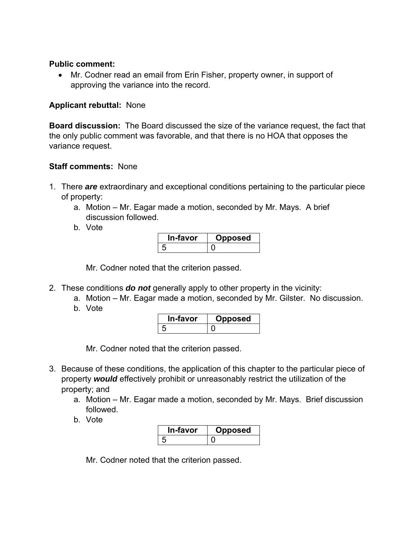#### **Public comment:**

 Mr. Codner read an email from Erin Fisher, property owner, in support of approving the variance into the record.

#### **Applicant rebuttal:** None

**Board discussion:** The Board discussed the size of the variance request, the fact that the only public comment was favorable, and that there is no HOA that opposes the variance request.

#### **Staff comments:** None

- 1. There *are* extraordinary and exceptional conditions pertaining to the particular piece of property:
	- a. Motion Mr. Eagar made a motion, seconded by Mr. Mays. A brief discussion followed.
	- b. Vote

| In-favor | pposed |
|----------|--------|
|          |        |

Mr. Codner noted that the criterion passed.

- 2. These conditions *do not* generally apply to other property in the vicinity:
	- a. Motion Mr. Eagar made a motion, seconded by Mr. Gilster. No discussion.
	- b. Vote

| ı-favor | osed |
|---------|------|
|         |      |

Mr. Codner noted that the criterion passed.

- 3. Because of these conditions, the application of this chapter to the particular piece of property *would* effectively prohibit or unreasonably restrict the utilization of the property; and
	- a. Motion Mr. Eagar made a motion, seconded by Mr. Mays. Brief discussion followed.
	- b. Vote

| In-favor | posed |
|----------|-------|
|          |       |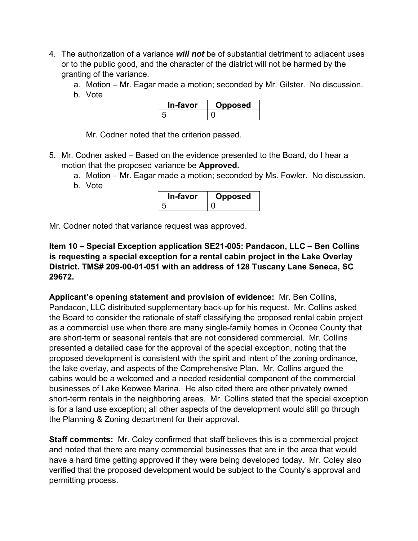- 4. The authorization of a variance *will not* be of substantial detriment to adjacent uses or to the public good, and the character of the district will not be harmed by the granting of the variance.
	- a. Motion Mr. Eagar made a motion; seconded by Mr. Gilster. No discussion.
	- b. Vote

| <b>≅-ravor</b> | <b>posed</b> |
|----------------|--------------|
|                |              |

- 5. Mr. Codner asked Based on the evidence presented to the Board, do I hear a motion that the proposed variance be **Approved.** 
	- a. Motion Mr. Eagar made a motion; seconded by Ms. Fowler. No discussion. b. Vote
		- **In-favor Opposed**  5 0

Mr. Codner noted that variance request was approved.

**Item 10 – Special Exception application SE21-005: Pandacon, LLC – Ben Collins is requesting a special exception for a rental cabin project in the Lake Overlay District. TMS# 209-00-01-051 with an address of 128 Tuscany Lane Seneca, SC 29672.** 

**Applicant's opening statement and provision of evidence:** Mr. Ben Collins, Pandacon, LLC distributed supplementary back-up for his request. Mr. Collins asked the Board to consider the rationale of staff classifying the proposed rental cabin project as a commercial use when there are many single-family homes in Oconee County that are short-term or seasonal rentals that are not considered commercial. Mr. Collins presented a detailed case for the approval of the special exception, noting that the proposed development is consistent with the spirit and intent of the zoning ordinance, the lake overlay, and aspects of the Comprehensive Plan. Mr. Collins argued the cabins would be a welcomed and a needed residential component of the commercial businesses of Lake Keowee Marina. He also cited there are other privately owned short-term rentals in the neighboring areas. Mr. Collins stated that the special exception is for a land use exception; all other aspects of the development would still go through the Planning & Zoning department for their approval.

**Staff comments:** Mr. Coley confirmed that staff believes this is a commercial project and noted that there are many commercial businesses that are in the area that would have a hard time getting approved if they were being developed today. Mr. Coley also verified that the proposed development would be subject to the County's approval and permitting process.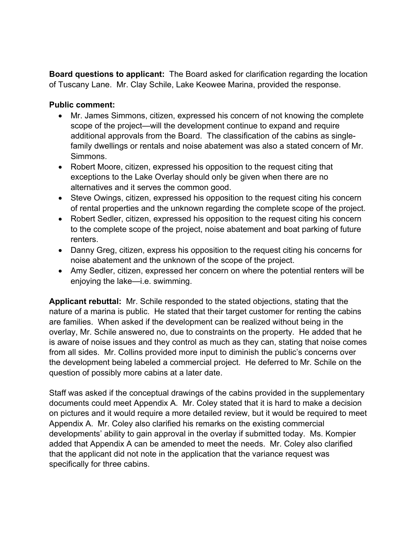**Board questions to applicant:** The Board asked for clarification regarding the location of Tuscany Lane. Mr. Clay Schile, Lake Keowee Marina, provided the response.

#### **Public comment:**

- Mr. James Simmons, citizen, expressed his concern of not knowing the complete scope of the project—will the development continue to expand and require additional approvals from the Board. The classification of the cabins as singlefamily dwellings or rentals and noise abatement was also a stated concern of Mr. Simmons.
- Robert Moore, citizen, expressed his opposition to the request citing that exceptions to the Lake Overlay should only be given when there are no alternatives and it serves the common good.
- Steve Owings, citizen, expressed his opposition to the request citing his concern of rental properties and the unknown regarding the complete scope of the project.
- Robert Sedler, citizen, expressed his opposition to the request citing his concern to the complete scope of the project, noise abatement and boat parking of future renters.
- Danny Greg, citizen, express his opposition to the request citing his concerns for noise abatement and the unknown of the scope of the project.
- Amy Sedler, citizen, expressed her concern on where the potential renters will be enjoying the lake—i.e. swimming.

**Applicant rebuttal:** Mr. Schile responded to the stated objections, stating that the nature of a marina is public. He stated that their target customer for renting the cabins are families. When asked if the development can be realized without being in the overlay, Mr. Schile answered no, due to constraints on the property. He added that he is aware of noise issues and they control as much as they can, stating that noise comes from all sides. Mr. Collins provided more input to diminish the public's concerns over the development being labeled a commercial project. He deferred to Mr. Schile on the question of possibly more cabins at a later date.

Staff was asked if the conceptual drawings of the cabins provided in the supplementary documents could meet Appendix A. Mr. Coley stated that it is hard to make a decision on pictures and it would require a more detailed review, but it would be required to meet Appendix A. Mr. Coley also clarified his remarks on the existing commercial developments' ability to gain approval in the overlay if submitted today. Ms. Kompier added that Appendix A can be amended to meet the needs. Mr. Coley also clarified that the applicant did not note in the application that the variance request was specifically for three cabins.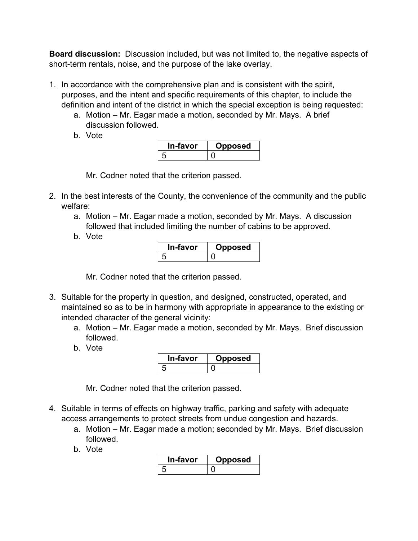**Board discussion:** Discussion included, but was not limited to, the negative aspects of short-term rentals, noise, and the purpose of the lake overlay.

- 1. In accordance with the comprehensive plan and is consistent with the spirit, purposes, and the intent and specific requirements of this chapter, to include the definition and intent of the district in which the special exception is being requested:
	- a. Motion Mr. Eagar made a motion, seconded by Mr. Mays. A brief discussion followed.
	- b. Vote

| n-tavor | posed |
|---------|-------|
|         |       |

Mr. Codner noted that the criterion passed.

- 2. In the best interests of the County, the convenience of the community and the public welfare:
	- a. Motion Mr. Eagar made a motion, seconded by Mr. Mays. A discussion followed that included limiting the number of cabins to be approved.
	- b. Vote

| ⊤-тavor | oosed. |
|---------|--------|
|         |        |

Mr. Codner noted that the criterion passed.

- 3. Suitable for the property in question, and designed, constructed, operated, and maintained so as to be in harmony with appropriate in appearance to the existing or intended character of the general vicinity:
	- a. Motion Mr. Eagar made a motion, seconded by Mr. Mays. Brief discussion followed.
	- b. Vote

| ∿-favor | pposed |
|---------|--------|
|         |        |

- 4. Suitable in terms of effects on highway traffic, parking and safety with adequate access arrangements to protect streets from undue congestion and hazards.
	- a. Motion Mr. Eagar made a motion; seconded by Mr. Mays. Brief discussion followed.
	- b. Vote

| ı-favor | ວposed |
|---------|--------|
|         |        |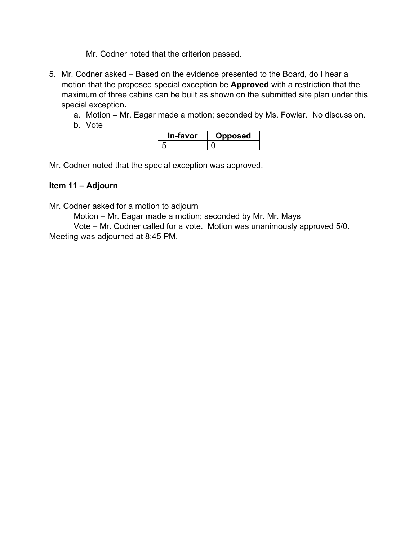- 5. Mr. Codner asked Based on the evidence presented to the Board, do I hear a motion that the proposed special exception be **Approved** with a restriction that the maximum of three cabins can be built as shown on the submitted site plan under this special exception**.** 
	- a. Motion Mr. Eagar made a motion; seconded by Ms. Fowler. No discussion.
	- b. Vote

| In-favor | pposed |
|----------|--------|
|          |        |

Mr. Codner noted that the special exception was approved.

## **Item 11 – Adjourn**

Mr. Codner asked for a motion to adjourn

Motion – Mr. Eagar made a motion; seconded by Mr. Mr. Mays

 Vote – Mr. Codner called for a vote. Motion was unanimously approved 5/0. Meeting was adjourned at 8:45 PM.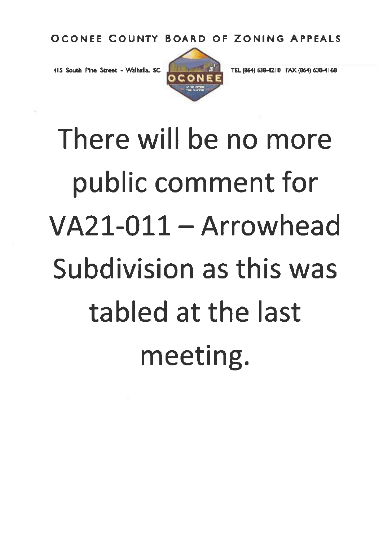415 South Pine Street - Walhalla, SC



TEL (864) 638-4218 FAX (864) 638-4168

There will be no more public comment for VA21-011 - Arrowhead Subdivision as this was tabled at the last meeting.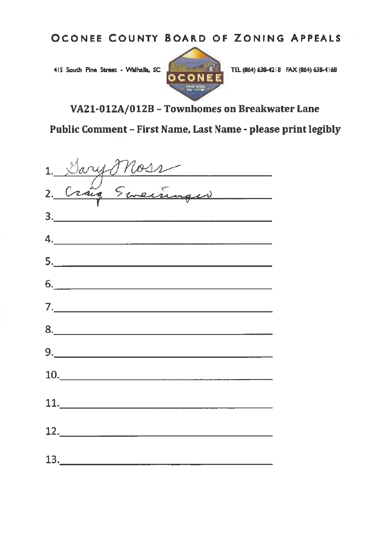415 South Pine Street - Walhalla, SC



TEL (864) 638-4218 FAX (864) 638-4168

VA21-012A/012B - Townhomes on Breakwater Lane

Public Comment - First Name, Last Name - please print legibly

| 1. Dary Moss                                      |
|---------------------------------------------------|
|                                                   |
|                                                   |
|                                                   |
| $\begin{array}{c} \hline \textbf{6.} \end{array}$ |
|                                                   |
|                                                   |
|                                                   |
| $\begin{array}{c}\n10.\n\end{array}$              |
|                                                   |
| $\begin{array}{c}\n 12. \\ - \end{array}$         |
| 13.                                               |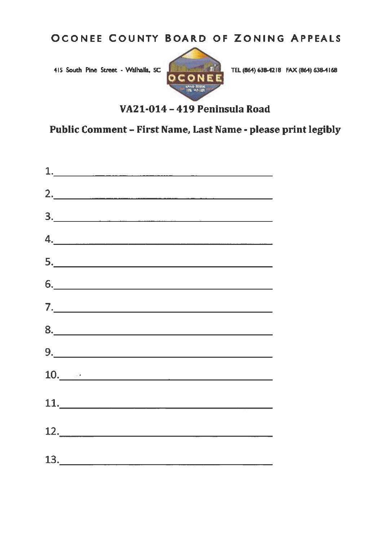415 South Pine Street - Walhalla, SC



TEL (864) 638-4218 FAX (864) 638-4168

## VA21-014 - 419 Peninsula Road

Public Comment - First Name, Last Name - please print legibly

| $\begin{array}{c} \hline \end{array}$                                                                                                                                                                                                                                                                                                                                                                                                                                                                                                             |  |
|---------------------------------------------------------------------------------------------------------------------------------------------------------------------------------------------------------------------------------------------------------------------------------------------------------------------------------------------------------------------------------------------------------------------------------------------------------------------------------------------------------------------------------------------------|--|
| $2. \qquad \qquad \overbrace{\qquad \qquad }$                                                                                                                                                                                                                                                                                                                                                                                                                                                                                                     |  |
|                                                                                                                                                                                                                                                                                                                                                                                                                                                                                                                                                   |  |
| $\begin{array}{c} \n4. \quad \textcolor{blue}{\textbf{12.12}} \quad \textcolor{blue}{\textbf{23.13}} \quad \textcolor{blue}{\textbf{24.13}} \quad \textcolor{blue}{\textbf{25.13}} \quad \textcolor{blue}{\textbf{26.13}} \quad \textcolor{blue}{\textbf{27.13}} \quad \textcolor{blue}{\textbf{28.13}} \quad \textcolor{blue}{\textbf{29.13}} \quad \textcolor{blue}{\textbf{21.13}} \quad \textcolor{blue}{\textbf{21.13}} \quad \textcolor{blue}{\textbf{21.13}} \quad \textcolor{blue}{\textbf$                                               |  |
| $\begin{array}{c c c c c} \hline \rule{0pt}{2ex} & \rule{0pt}{2ex} \multicolumn{3}{c }{\textbf{5.}} & \multicolumn{3}{c }{\textbf{6.}} \\ \hline \rule{0pt}{2ex} & \rule{0pt}{2ex} & \rule{0pt}{2ex} & \rule{0pt}{2ex} & \rule{0pt}{2ex} & \rule{0pt}{2ex} & \rule{0pt}{2ex} & \rule{0pt}{2ex} & \rule{0pt}{2ex} & \rule{0pt}{2ex} & \rule{0pt}{2ex} & \rule{0pt}{2ex} & \rule{0pt}{2ex} & \rule{0pt}{2ex} & \rule{0$                                                                                                                             |  |
| $\begin{picture}(20,10) \put(0,0){\vector(1,0){100}} \put(15,0){\vector(1,0){100}} \put(15,0){\vector(1,0){100}} \put(15,0){\vector(1,0){100}} \put(15,0){\vector(1,0){100}} \put(15,0){\vector(1,0){100}} \put(15,0){\vector(1,0){100}} \put(15,0){\vector(1,0){100}} \put(15,0){\vector(1,0){100}} \put(15,0){\vector(1,0){100}} \put(15,0){\vector(1,0){100}} \$                                                                                                                                                                               |  |
| $\begin{array}{c} \n\text{7.} \quad \text{---} \quad \text{---} \quad \text{---} \quad \text{---} \quad \text{---} \quad \text{---} \quad \text{---} \quad \text{---} \quad \text{---} \quad \text{---} \quad \text{---} \quad \text{---} \quad \text{---} \quad \text{---} \quad \text{---} \quad \text{---} \quad \text{---} \quad \text{---} \quad \text{---} \quad \text{---} \quad \text{---} \quad \text{---} \quad \text{---} \quad \text{---} \quad \text{---} \quad \text{---} \quad \text{---} \quad \text{---} \quad \text{---} \quad$ |  |
|                                                                                                                                                                                                                                                                                                                                                                                                                                                                                                                                                   |  |
| $9. \qquad \qquad 9. \qquad \qquad 9. \qquad \qquad 1. \qquad \qquad 9. \qquad \qquad 1. \qquad \qquad 1. \qquad \qquad 1. \qquad \qquad 1. \qquad \qquad 1. \qquad \qquad 1. \qquad \qquad 1. \qquad \qquad 1. \qquad \qquad 1. \qquad \qquad 1. \qquad \qquad 1. \qquad \qquad 1. \qquad \qquad 1. \qquad \qquad 1. \qquad \qquad 1. \qquad \qquad 1. \qquad \qquad 1. \qquad \qquad 1. \qquad \qquad 1. \qquad \qquad 1. \q$                                                                                                                   |  |
| $10.$ $\blacksquare$                                                                                                                                                                                                                                                                                                                                                                                                                                                                                                                              |  |
|                                                                                                                                                                                                                                                                                                                                                                                                                                                                                                                                                   |  |
| $\begin{array}{c c c c c} \hline \multicolumn{3}{c }{\textbf{12}}. \end{array}$                                                                                                                                                                                                                                                                                                                                                                                                                                                                   |  |
| 13.                                                                                                                                                                                                                                                                                                                                                                                                                                                                                                                                               |  |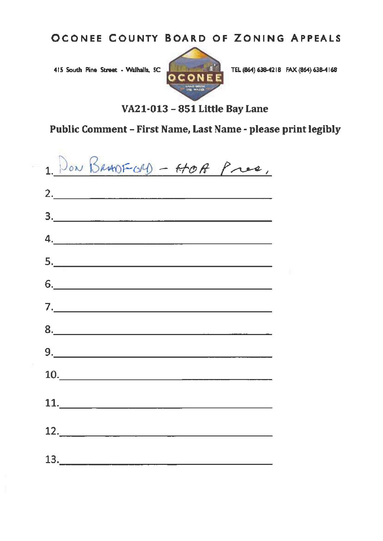415 South Pine Street - Walhalla, SC



TEL (864) 638-4218 FAX (864) 638-4168

## VA21-013 - 851 Little Bay Lane

# Public Comment - First Name, Last Name - please print legibly

| 1. Don BRANFORD - HOA Pres,                                                                                                   |  |
|-------------------------------------------------------------------------------------------------------------------------------|--|
| 2.                                                                                                                            |  |
|                                                                                                                               |  |
|                                                                                                                               |  |
| <u>5. _________________________________</u>                                                                                   |  |
|                                                                                                                               |  |
|                                                                                                                               |  |
|                                                                                                                               |  |
|                                                                                                                               |  |
|                                                                                                                               |  |
|                                                                                                                               |  |
| $\begin{array}{c c c c c} \hline \multicolumn{3}{c }{\textbf{12.}} & \multicolumn{3}{c }{\textbf{12.}} \\ \hline \end{array}$ |  |
| 13.                                                                                                                           |  |